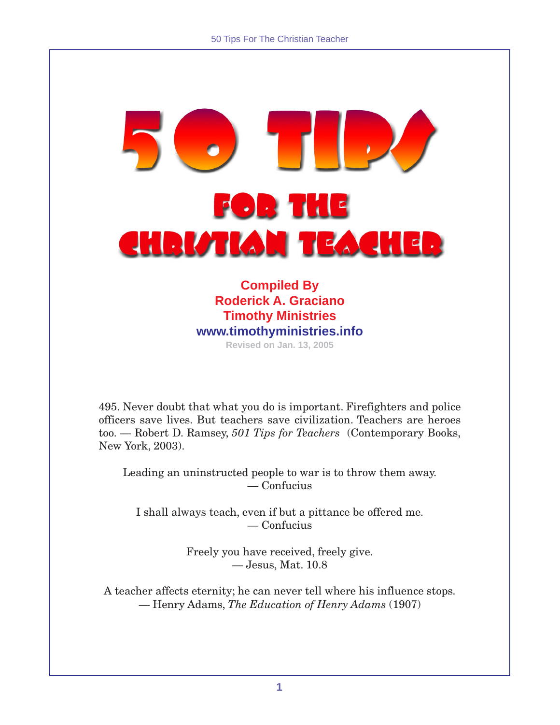# $\left| \; , \; \right\rangle$ **FOR THE** CHRISTIAN TEACHER

**Compiled By Roderick A. Graciano Timothy Ministries www.timothyministries.info Revised on Jan. 13, 2005**

495. Never doubt that what you do is important. Firefighters and police officers save lives. But teachers save civilization. Teachers are heroes too. — Robert D. Ramsey, *501 Tips for Teachers* (Contemporary Books, New York, 2003).

Leading an uninstructed people to war is to throw them away. — Confucius

I shall always teach, even if but a pittance be offered me. — Confucius

> Freely you have received, freely give. — Jesus, Mat. 10.8

A teacher affects eternity; he can never tell where his influence stops. — Henry Adams, *The Education of Henry Adams* (1907)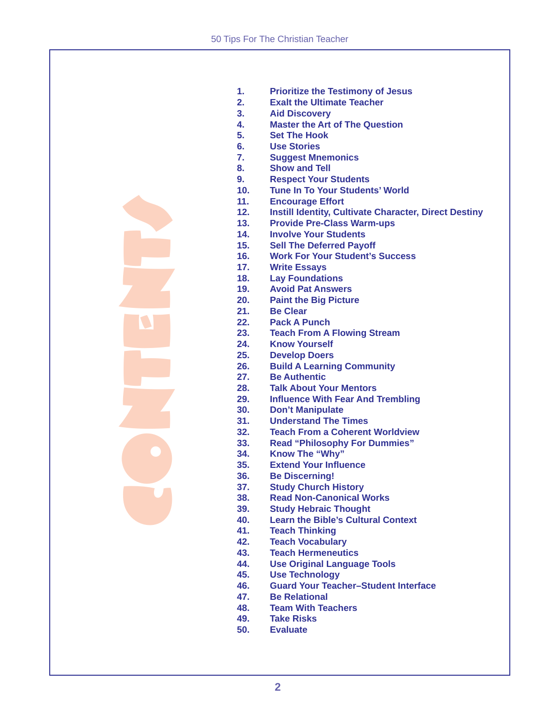CONTENTS

- **1. Prioritize the Testimony of Jesus**
- **2. Exalt the Ultimate Teacher**
- **3. Aid Discovery**
- **4. Master the Art of The Question**
- **5. Set The Hook**
- **6. Use Stories**
- **7. Suggest Mnemonics**
- **8. Show and Tell**
- **9. Respect Your Students**
- **10. Tune In To Your Students' World**
- **11. Encourage Effort**
- **12. Instill Identity, Cultivate Character, Direct Destiny**
- **13. Provide Pre-Class Warm-ups**
- **14. Involve Your Students**
- **15. Sell The Deferred Payoff**
- **16. Work For Your Student's Success**
- **17. Write Essays**
- **18. Lay Foundations**
- **19. Avoid Pat Answers**
- **20. Paint the Big Picture**
- **21. Be Clear**
- **22. Pack A Punch**
- **23. Teach From A Flowing Stream**
- **24. Know Yourself**
- **25. Develop Doers**
- **26. Build A Learning Community**
- **27. Be Authentic**
- **28. Talk About Your Mentors**
- **29. Influence With Fear And Trembling**
- **30. Don't Manipulate**
- **31. Understand The Times**
- **32. Teach From a Coherent Worldview**
- **33. Read "Philosophy For Dummies"**
- **34. Know The "Why"**
- **35. Extend Your Influence**
- **36. Be Discerning!**
- **37. Study Church History**
- **38. Read Non-Canonical Works**
- **39. Study Hebraic Thought**
- **40. Learn the Bible's Cultural Context**
- **41. Teach Thinking**
- **42. Teach Vocabulary**
- **43. Teach Hermeneutics**
- **44. Use Original Language Tools**
- **45. Use Technology**
- **46. Guard Your Teacher–Student Interface**
- **47. Be Relational**
- **48. Team With Teachers**
- **49. Take Risks**
- **50. Evaluate**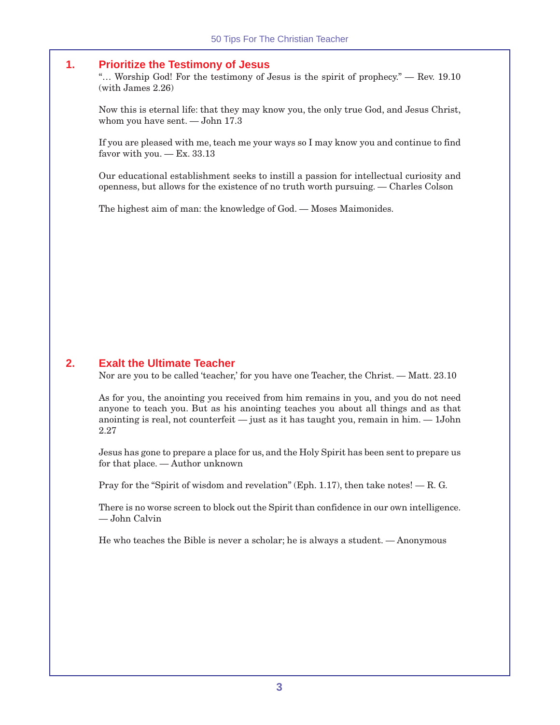#### **1. Prioritize the Testimony of Jesus**

"... Worship God! For the testimony of Jesus is the spirit of prophecy."  $-$  Rev. 19.10  $(with \cdot James \ 2.26)$ 

Now this is eternal life: that they may know you, the only true God, and Jesus Christ, whom you have sent. — John 17.3

If you are pleased with me, teach me your ways so I may know you and continue to find favor with you.  $-$  Ex. 33.13

Our educational establishment seeks to instill a passion for intellectual curiosity and openness, but allows for the existence of no truth worth pursuing. — Charles Colson

The highest aim of man: the knowledge of God. — Moses Maimonides.

#### **2. Exalt the Ultimate Teacher**

Nor are you to be called 'teacher,' for you have one Teacher, the Christ. — Matt. 23.10

As for you, the anointing you received from him remains in you, and you do not need anyone to teach you. But as his anointing teaches you about all things and as that anointing is real, not counterfeit — just as it has taught you, remain in him. — 1John 2.27

Jesus has gone to prepare a place for us, and the Holy Spirit has been sent to prepare us for that place. — Author unknown

Pray for the "Spirit of wisdom and revelation" (Eph. 1.17), then take notes!  $-$  R. G.

There is no worse screen to block out the Spirit than confidence in our own intelligence. — John Calvin

He who teaches the Bible is never a scholar; he is always a student. — Anonymous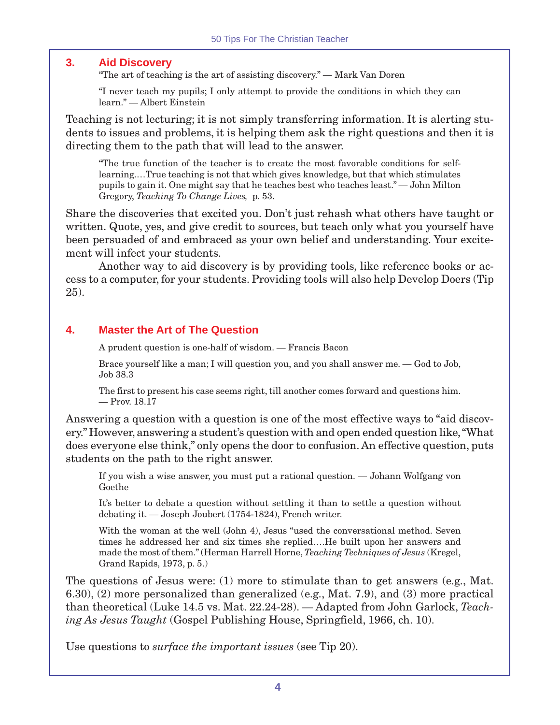# **3. Aid Discovery**

"The art of teaching is the art of assisting discovery." — Mark Van Doren

"I never teach my pupils; I only attempt to provide the conditions in which they can learn." — Albert Einstein

Teaching is not lecturing; it is not simply transferring information. It is alerting students to issues and problems, it is helping them ask the right questions and then it is directing them to the path that will lead to the answer.

"The true function of the teacher is to create the most favorable conditions for selflearning.…True teaching is not that which gives knowledge, but that which stimulates pupils to gain it. One might say that he teaches best who teaches least." — John Milton Gregory, *Teaching To Change Lives,* p. 53.

Share the discoveries that excited you. Don't just rehash what others have taught or written. Quote, yes, and give credit to sources, but teach only what you yourself have been persuaded of and embraced as your own belief and understanding. Your excitement will infect your students.

Another way to aid discovery is by providing tools, like reference books or access to a computer, for your students. Providing tools will also help Develop Doers (Tip 25).

# **4. Master the Art of The Question**

A prudent question is one-half of wisdom. — Francis Bacon

Brace yourself like a man; I will question you, and you shall answer me. — God to Job, Job 38.3

The first to present his case seems right, till another comes forward and questions him. — Prov. 18.17

Answering a question with a question is one of the most effective ways to "aid discovery." However, answering a student's question with and open ended question like, "What does everyone else think," only opens the door to confusion. An effective question, puts students on the path to the right answer.

If you wish a wise answer, you must put a rational question. — Johann Wolfgang von Goethe

It's better to debate a question without settling it than to settle a question without debating it. — Joseph Joubert (1754-1824), French writer.

With the woman at the well (John 4), Jesus "used the conversational method. Seven times he addressed her and six times she replied….He built upon her answers and made the most of them." (Herman Harrell Horne, *Teaching Techniques of Jesus* (Kregel, Grand Rapids, 1973, p. 5.)

The questions of Jesus were: (1) more to stimulate than to get answers (e.g., Mat. 6.30), (2) more personalized than generalized (e.g., Mat. 7.9), and (3) more practical than theoretical (Luke 14.5 vs. Mat. 22.24-28). — Adapted from John Garlock, *Teaching As Jesus Taught* (Gospel Publishing House, Springfield, 1966, ch. 10).

Use questions to *surface the important issues* (see Tip 20).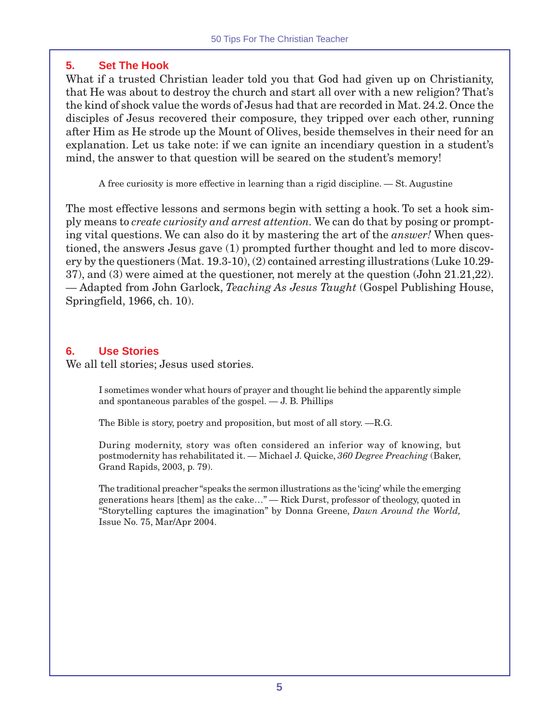# **5. Set The Hook**

What if a trusted Christian leader told you that God had given up on Christianity, that He was about to destroy the church and start all over with a new religion? That's the kind of shock value the words of Jesus had that are recorded in Mat. 24.2. Once the disciples of Jesus recovered their composure, they tripped over each other, running after Him as He strode up the Mount of Olives, beside themselves in their need for an explanation. Let us take note: if we can ignite an incendiary question in a student's mind, the answer to that question will be seared on the student's memory!

A free curiosity is more effective in learning than a rigid discipline. — St. Augustine

The most effective lessons and sermons begin with setting a hook. To set a hook simply means to *create curiosity and arrest attention.* We can do that by posing or prompting vital questions. We can also do it by mastering the art of the *answer!* When questioned, the answers Jesus gave (1) prompted further thought and led to more discovery by the questioners (Mat. 19.3-10), (2) contained arresting illustrations (Luke 10.29- 37), and (3) were aimed at the questioner, not merely at the question (John 21.21,22). — Adapted from John Garlock, *Teaching As Jesus Taught* (Gospel Publishing House, Springfield, 1966, ch. 10).

# **6. Use Stories**

We all tell stories; Jesus used stories.

I sometimes wonder what hours of prayer and thought lie behind the apparently simple and spontaneous parables of the gospel. — J. B. Phillips

The Bible is story, poetry and proposition, but most of all story. —R.G.

During modernity, story was often considered an inferior way of knowing, but postmodernity has rehabilitated it. — Michael J. Quicke, *360 Degree Preaching* (Baker, Grand Rapids, 2003, p. 79).

The traditional preacher "speaks the sermon illustrations as the 'icing' while the emerging generations hears [them] as the cake…" — Rick Durst, professor of theology, quoted in "Storytelling captures the imagination" by Donna Greene, *Dawn Around the World,* Issue No. 75, Mar/Apr 2004.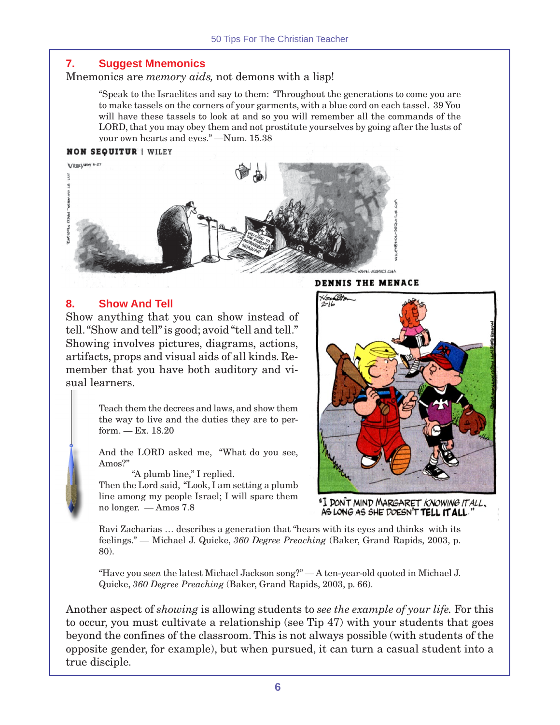#### **7. Suggest Mnemonics**

Mnemonics are *memory aids,* not demons with a lisp!

"Speak to the Israelites and say to them: 'Throughout the generations to come you are to make tassels on the corners of your garments, with a blue cord on each tassel. 39 You will have these tassels to look at and so you will remember all the commands of the LORD, that you may obey them and not prostitute yourselves by going after the lusts of your own hearts and eyes." —Num. 15.38

#### **NON SEQUITUR | WILEY**



# **8. Show And Tell**

Show anything that you can show instead of tell. "Show and tell" is good; avoid "tell and tell." Showing involves pictures, diagrams, actions, artifacts, props and visual aids of all kinds. Remember that you have both auditory and visual learners.

> Teach them the decrees and laws, and show them the way to live and the duties they are to perform. — Ex. 18.20

> And the LORD asked me, "What do you see, Amos?"

"A plumb line," I replied.

Then the Lord said, "Look, I am setting a plumb line among my people Israel; I will spare them no longer. — Amos 7.8

**DENNIS THE MENACE** 



"I DON'T MIND MARGARET KNOWING IT ALL. AS LONG AS SHE DOESN'T TELL IT ALL.

Ravi Zacharias … describes a generation that "hears with its eyes and thinks with its feelings." — Michael J. Quicke, *360 Degree Preaching* (Baker, Grand Rapids, 2003, p. 80).

"Have you *seen* the latest Michael Jackson song?" — A ten-year-old quoted in Michael J. Quicke, *360 Degree Preaching* (Baker, Grand Rapids, 2003, p. 66).

Another aspect of *showing* is allowing students to *see the example of your life.* For this to occur, you must cultivate a relationship (see Tip 47) with your students that goes beyond the confines of the classroom. This is not always possible (with students of the opposite gender, for example), but when pursued, it can turn a casual student into a true disciple.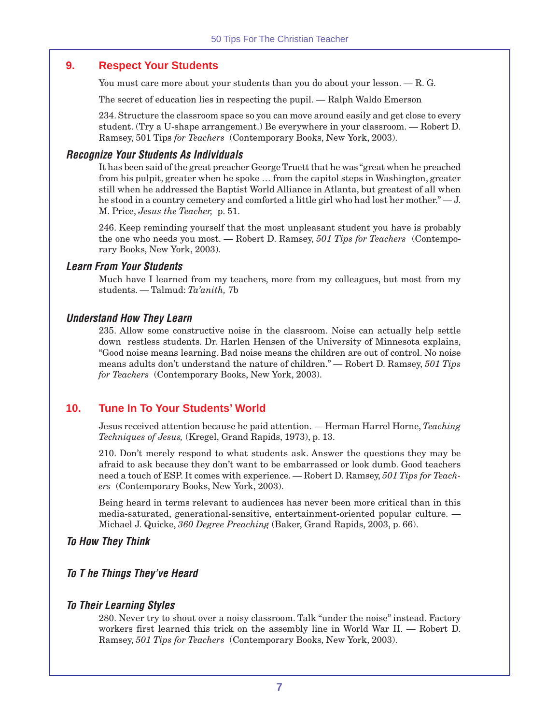#### **9. Respect Your Students**

You must care more about your students than you do about your lesson.  $-$  R. G.

The secret of education lies in respecting the pupil. — Ralph Waldo Emerson

234. Structure the classroom space so you can move around easily and get close to every student. (Try a U-shape arrangement.) Be everywhere in your classroom. — Robert D. Ramsey, 501 Tips *for Teachers* (Contemporary Books, New York, 2003).

#### **Recognize Your Students As Individuals**

It has been said of the great preacher George Truett that he was "great when he preached from his pulpit, greater when he spoke … from the capitol steps in Washington, greater still when he addressed the Baptist World Alliance in Atlanta, but greatest of all when he stood in a country cemetery and comforted a little girl who had lost her mother." — J. M. Price, *Jesus the Teacher,* p. 51.

246. Keep reminding yourself that the most unpleasant student you have is probably the one who needs you most. — Robert D. Ramsey, *501 Tips for Teachers* (Contemporary Books, New York, 2003).

#### **Learn From Your Students**

Much have I learned from my teachers, more from my colleagues, but most from my students. — Talmud: *Ta'anith,* 7b

#### **Understand How They Learn**

235. Allow some constructive noise in the classroom. Noise can actually help settle down restless students. Dr. Harlen Hensen of the University of Minnesota explains, "Good noise means learning. Bad noise means the children are out of control. No noise means adults don't understand the nature of children." — Robert D. Ramsey, *501 Tips for Teachers* (Contemporary Books, New York, 2003).

#### **10. Tune In To Your Students' World**

Jesus received attention because he paid attention. — Herman Harrel Horne, *Teaching Techniques of Jesus,* (Kregel, Grand Rapids, 1973), p. 13.

210. Don't merely respond to what students ask. Answer the questions they may be afraid to ask because they don't want to be embarrassed or look dumb. Good teachers need a touch of ESP. It comes with experience. — Robert D. Ramsey, *501 Tips for Teachers* (Contemporary Books, New York, 2003).

Being heard in terms relevant to audiences has never been more critical than in this media-saturated, generational-sensitive, entertainment-oriented popular culture. — Michael J. Quicke, *360 Degree Preaching* (Baker, Grand Rapids, 2003, p. 66).

#### **To How They Think**

#### **To T he Things They've Heard**

#### **To Their Learning Styles**

280. Never try to shout over a noisy classroom. Talk "under the noise" instead. Factory workers first learned this trick on the assembly line in World War II. — Robert D. Ramsey, *501 Tips for Teachers* (Contemporary Books, New York, 2003).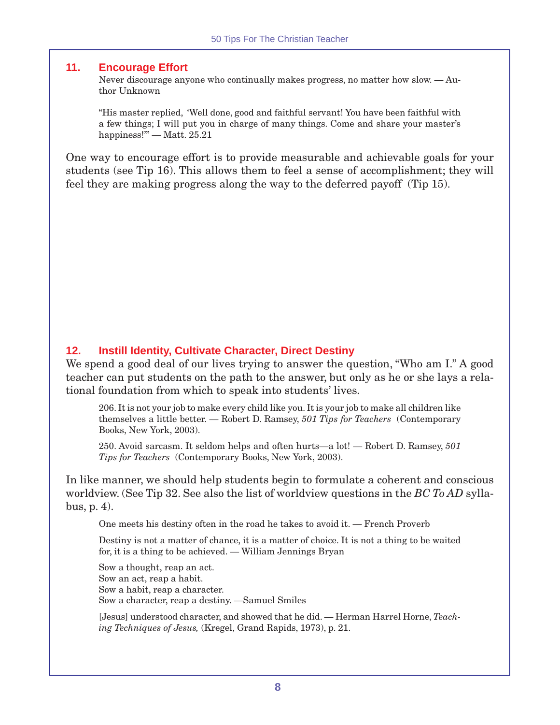#### **11. Encourage Effort**

Never discourage anyone who continually makes progress, no matter how slow. — Author Unknown

"His master replied, 'Well done, good and faithful servant! You have been faithful with a few things; I will put you in charge of many things. Come and share your master's happiness!" — Matt. 25.21

One way to encourage effort is to provide measurable and achievable goals for your students (see Tip 16). This allows them to feel a sense of accomplishment; they will feel they are making progress along the way to the deferred payoff (Tip 15).

#### **12. Instill Identity, Cultivate Character, Direct Destiny**

We spend a good deal of our lives trying to answer the question, "Who am I." A good teacher can put students on the path to the answer, but only as he or she lays a relational foundation from which to speak into students' lives.

206. It is not your job to make every child like you. It is your job to make all children like themselves a little better. — Robert D. Ramsey, *501 Tips for Teachers* (Contemporary Books, New York, 2003).

250. Avoid sarcasm. It seldom helps and often hurts—a lot! — Robert D. Ramsey, *501 Tips for Teachers* (Contemporary Books, New York, 2003).

In like manner, we should help students begin to formulate a coherent and conscious worldview. (See Tip 32. See also the list of worldview questions in the *BC To AD* syllabus, p. 4).

One meets his destiny often in the road he takes to avoid it. — French Proverb

Destiny is not a matter of chance, it is a matter of choice. It is not a thing to be waited for, it is a thing to be achieved. — William Jennings Bryan

Sow a thought, reap an act. Sow an act, reap a habit. Sow a habit, reap a character. Sow a character, reap a destiny. —Samuel Smiles

[Jesus] understood character, and showed that he did. — Herman Harrel Horne, *Teaching Techniques of Jesus,* (Kregel, Grand Rapids, 1973), p. 21.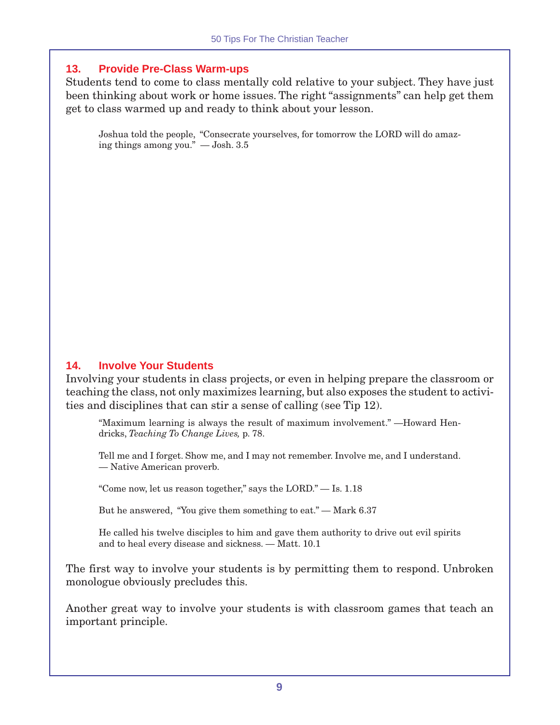# **13. Provide Pre-Class Warm-ups**

Students tend to come to class mentally cold relative to your subject. They have just been thinking about work or home issues. The right "assignments" can help get them get to class warmed up and ready to think about your lesson.

Joshua told the people, "Consecrate yourselves, for tomorrow the LORD will do amazing things among you." — Josh. 3.5

# **14. Involve Your Students**

Involving your students in class projects, or even in helping prepare the classroom or teaching the class, not only maximizes learning, but also exposes the student to activities and disciplines that can stir a sense of calling (see Tip 12).

"Maximum learning is always the result of maximum involvement." —Howard Hendricks, *Teaching To Change Lives,* p. 78.

Tell me and I forget. Show me, and I may not remember. Involve me, and I understand. — Native American proverb.

"Come now, let us reason together," says the LORD." — Is. 1.18

But he answered, "You give them something to eat." — Mark 6.37

He called his twelve disciples to him and gave them authority to drive out evil spirits and to heal every disease and sickness. — Matt. 10.1

The first way to involve your students is by permitting them to respond. Unbroken monologue obviously precludes this.

Another great way to involve your students is with classroom games that teach an important principle.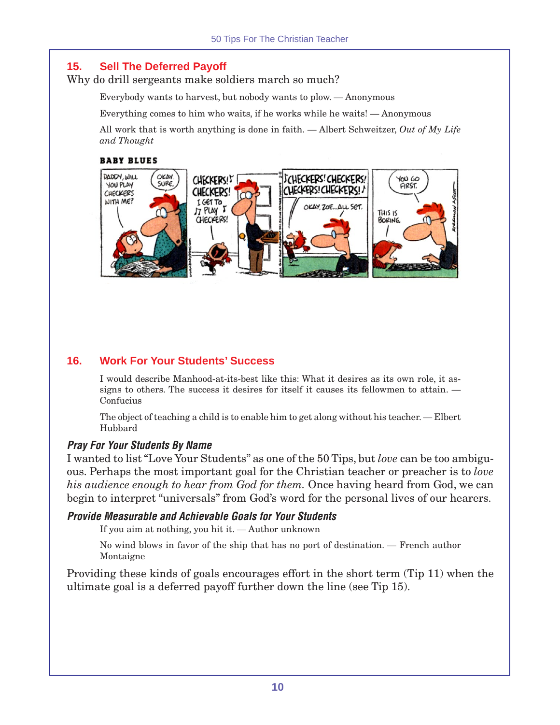# **15. Sell The Deferred Payoff**

Why do drill sergeants make soldiers march so much?

Everybody wants to harvest, but nobody wants to plow. — Anonymous

Everything comes to him who waits, if he works while he waits! — Anonymous

All work that is worth anything is done in faith. — Albert Schweitzer, *Out of My Life and Thought*

#### **BABY BLUES**



# **16. Work For Your Students' Success**

I would describe Manhood-at-its-best like this: What it desires as its own role, it assigns to others. The success it desires for itself it causes its fellowmen to attain. — Confucius

The object of teaching a child is to enable him to get along without his teacher. — Elbert Hubbard

#### **Pray For Your Students By Name**

I wanted to list "Love Your Students" as one of the 50 Tips, but *love* can be too ambiguous. Perhaps the most important goal for the Christian teacher or preacher is to *love his audience enough to hear from God for them.* Once having heard from God, we can begin to interpret "universals" from God's word for the personal lives of our hearers.

#### **Provide Measurable and Achievable Goals for Your Students**

If you aim at nothing, you hit it. — Author unknown

No wind blows in favor of the ship that has no port of destination. — French author Montaigne

Providing these kinds of goals encourages effort in the short term (Tip 11) when the ultimate goal is a deferred payoff further down the line (see Tip 15).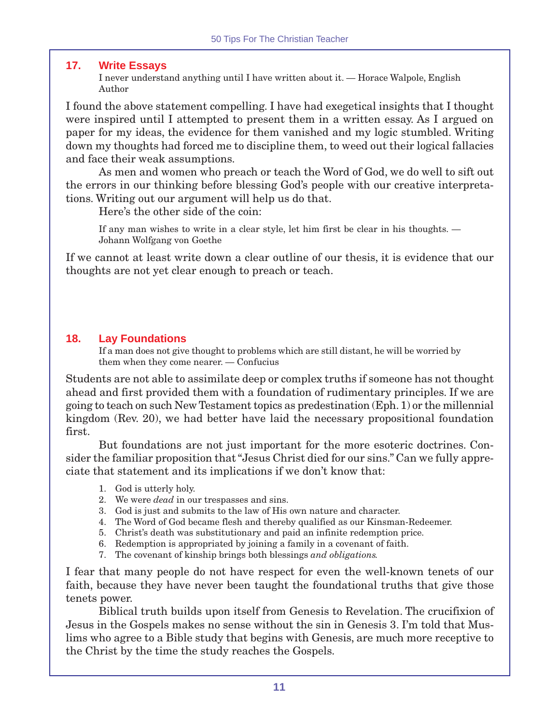## **17. Write Essays**

I never understand anything until I have written about it. — Horace Walpole, English Author

I found the above statement compelling. I have had exegetical insights that I thought were inspired until I attempted to present them in a written essay. As I argued on paper for my ideas, the evidence for them vanished and my logic stumbled. Writing down my thoughts had forced me to discipline them, to weed out their logical fallacies and face their weak assumptions.

As men and women who preach or teach the Word of God, we do well to sift out the errors in our thinking before blessing God's people with our creative interpretations. Writing out our argument will help us do that.

Here's the other side of the coin:

If any man wishes to write in a clear style, let him first be clear in his thoughts. — Johann Wolfgang von Goethe

If we cannot at least write down a clear outline of our thesis, it is evidence that our thoughts are not yet clear enough to preach or teach.

# **18. Lay Foundations**

If a man does not give thought to problems which are still distant, he will be worried by them when they come nearer. — Confucius

Students are not able to assimilate deep or complex truths if someone has not thought ahead and first provided them with a foundation of rudimentary principles. If we are going to teach on such New Testament topics as predestination (Eph. 1) or the millennial kingdom (Rev. 20), we had better have laid the necessary propositional foundation first.

But foundations are not just important for the more esoteric doctrines. Consider the familiar proposition that "Jesus Christ died for our sins." Can we fully appreciate that statement and its implications if we don't know that:

- 1. God is utterly holy.
- 2. We were *dead* in our trespasses and sins.
- 3. God is just and submits to the law of His own nature and character.
- 4. The Word of God became flesh and thereby qualified as our Kinsman-Redeemer.
- 5. Christ's death was substitutionary and paid an infinite redemption price.
- 6. Redemption is appropriated by joining a family in a covenant of faith.
- 7. The covenant of kinship brings both blessings *and obligations.*

I fear that many people do not have respect for even the well-known tenets of our faith, because they have never been taught the foundational truths that give those tenets power.

Biblical truth builds upon itself from Genesis to Revelation. The crucifixion of Jesus in the Gospels makes no sense without the sin in Genesis 3. I'm told that Muslims who agree to a Bible study that begins with Genesis, are much more receptive to the Christ by the time the study reaches the Gospels.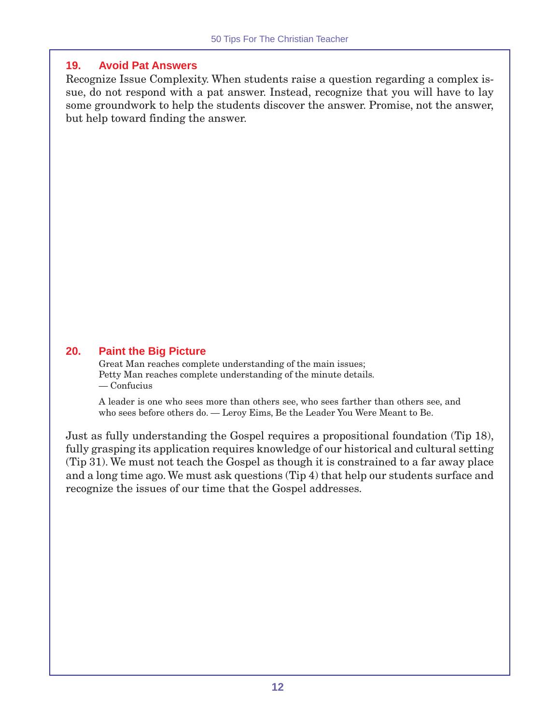# **19. Avoid Pat Answers**

Recognize Issue Complexity. When students raise a question regarding a complex issue, do not respond with a pat answer. Instead, recognize that you will have to lay some groundwork to help the students discover the answer. Promise, not the answer, but help toward finding the answer.

# **20. Paint the Big Picture**

Great Man reaches complete understanding of the main issues; Petty Man reaches complete understanding of the minute details. — Confucius

A leader is one who sees more than others see, who sees farther than others see, and who sees before others do. — Leroy Eims, Be the Leader You Were Meant to Be.

Just as fully understanding the Gospel requires a propositional foundation (Tip 18), fully grasping its application requires knowledge of our historical and cultural setting (Tip 31). We must not teach the Gospel as though it is constrained to a far away place and a long time ago. We must ask questions (Tip 4) that help our students surface and recognize the issues of our time that the Gospel addresses.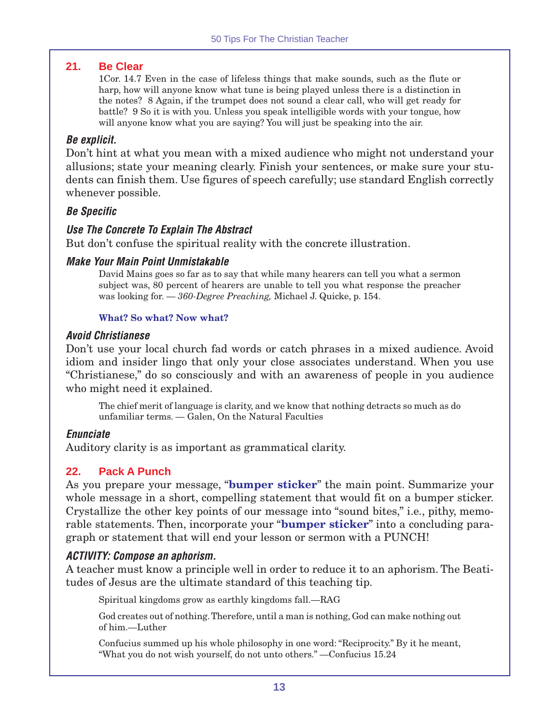#### **21. Be Clear**

1Cor. 14.7 Even in the case of lifeless things that make sounds, such as the flute or harp, how will anyone know what tune is being played unless there is a distinction in the notes? 8 Again, if the trumpet does not sound a clear call, who will get ready for battle? 9 So it is with you. Unless you speak intelligible words with your tongue, how will anyone know what you are saying? You will just be speaking into the air.

#### **Be explicit.**

Don't hint at what you mean with a mixed audience who might not understand your allusions; state your meaning clearly. Finish your sentences, or make sure your students can finish them. Use figures of speech carefully; use standard English correctly whenever possible.

#### **Be Specific**

#### **Use The Concrete To Explain The Abstract**

But don't confuse the spiritual reality with the concrete illustration.

#### **Make Your Main Point Unmistakable**

David Mains goes so far as to say that while many hearers can tell you what a sermon subject was, 80 percent of hearers are unable to tell you what response the preacher was looking for. — *360-Degree Preaching,* Michael J. Quicke, p. 154.

#### **What? So what? Now what?**

#### **Avoid Christianese**

Don't use your local church fad words or catch phrases in a mixed audience. Avoid idiom and insider lingo that only your close associates understand. When you use "Christianese," do so consciously and with an awareness of people in you audience who might need it explained.

The chief merit of language is clarity, and we know that nothing detracts so much as do unfamiliar terms. — Galen, On the Natural Faculties

#### **Enunciate**

Auditory clarity is as important as grammatical clarity.

# **22. Pack A Punch**

As you prepare your message, "**bumper sticker**" the main point. Summarize your whole message in a short, compelling statement that would fit on a bumper sticker. Crystallize the other key points of our message into "sound bites," i.e., pithy, memorable statements. Then, incorporate your "**bumper sticker**" into a concluding paragraph or statement that will end your lesson or sermon with a PUNCH!

#### **ACTIVITY: Compose an aphorism.**

A teacher must know a principle well in order to reduce it to an aphorism. The Beatitudes of Jesus are the ultimate standard of this teaching tip.

Spiritual kingdoms grow as earthly kingdoms fall.—RAG

God creates out of nothing. Therefore, until a man is nothing, God can make nothing out of him.—Luther

Confucius summed up his whole philosophy in one word: "Reciprocity." By it he meant, "What you do not wish yourself, do not unto others." —Confucius 15.24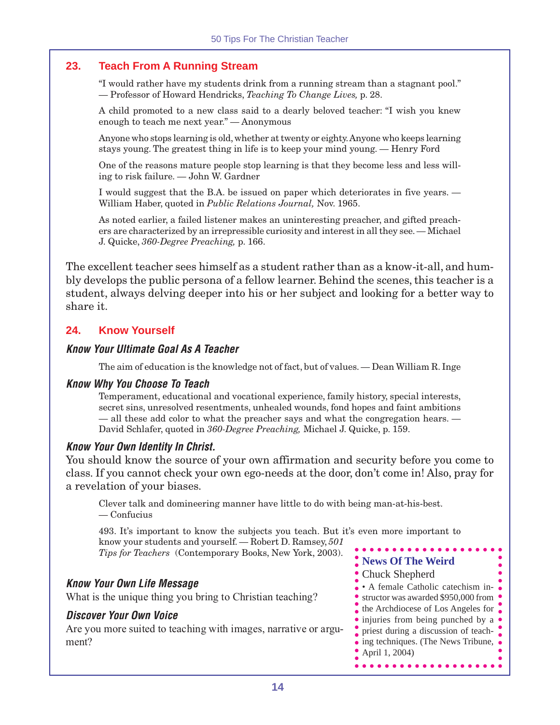# **23. Teach From A Running Stream**

"I would rather have my students drink from a running stream than a stagnant pool." — Professor of Howard Hendricks, *Teaching To Change Lives,* p. 28.

A child promoted to a new class said to a dearly beloved teacher: "I wish you knew enough to teach me next year." — Anonymous

Anyone who stops learning is old, whether at twenty or eighty. Anyone who keeps learning stays young. The greatest thing in life is to keep your mind young. — Henry Ford

One of the reasons mature people stop learning is that they become less and less willing to risk failure. — John W. Gardner

I would suggest that the B.A. be issued on paper which deteriorates in five years. — William Haber, quoted in *Public Relations Journal,* Nov. 1965.

As noted earlier, a failed listener makes an uninteresting preacher, and gifted preachers are characterized by an irrepressible curiosity and interest in all they see. — Michael J. Quicke, *360-Degree Preaching,* p. 166.

The excellent teacher sees himself as a student rather than as a know-it-all, and humbly develops the public persona of a fellow learner. Behind the scenes, this teacher is a student, always delving deeper into his or her subject and looking for a better way to share it.

# **24. Know Yourself**

#### **Know Your Ultimate Goal As A Teacher**

The aim of education is the knowledge not of fact, but of values. — Dean William R. Inge

#### **Know Why You Choose To Teach**

Temperament, educational and vocational experience, family history, special interests, secret sins, unresolved resentments, unhealed wounds, fond hopes and faint ambitions — all these add color to what the preacher says and what the congregation hears. — David Schlafer, quoted in *360-Degree Preaching,* Michael J. Quicke, p. 159.

#### **Know Your Own Identity In Christ.**

You should know the source of your own affirmation and security before you come to class. If you cannot check your own ego-needs at the door, don't come in! Also, pray for a revelation of your biases.

Clever talk and domineering manner have little to do with being man-at-his-best. — Confucius

493. It's important to know the subjects you teach. But it's even more important to know your students and yourself. — Robert D. Ramsey, *501 Tips for Teachers* (Contemporary Books, New York, 2003).

# **Know Your Own Life Message**

What is the unique thing you bring to Christian teaching?

#### **Discover Your Own Voice**

Are you more suited to teaching with images, narrative or argument?

- **News Of The Weird**
- Chuck Shepherd

. . . . . . . . . . . . . .

• A female Catholic catechism in-• structor was awarded \$950,000 from • the Archdiocese of Los Angeles for • injuries from being punched by a • priest during a discussion of teach- $\bullet$  ing techniques. (The News Tribune,  $\bullet$ April 1, 2004)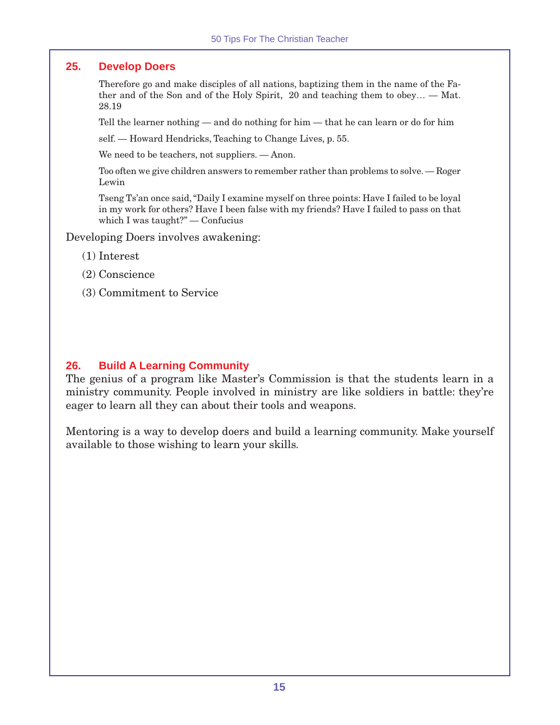#### **25. Develop Doers**

Therefore go and make disciples of all nations, baptizing them in the name of the Father and of the Son and of the Holy Spirit, 20 and teaching them to obey… — Mat. 28.19

Tell the learner nothing — and do nothing for him — that he can learn or do for him

self. — Howard Hendricks, Teaching to Change Lives, p. 55.

We need to be teachers, not suppliers. — Anon.

Too often we give children answers to remember rather than problems to solve. — Roger Lewin

Tseng Ts'an once said, "Daily I examine myself on three points: Have I failed to be loyal in my work for others? Have I been false with my friends? Have I failed to pass on that which I was taught?" — Confucius

Developing Doers involves awakening:

- (1) Interest
- (2) Conscience
- (3) Commitment to Service

## **26. Build A Learning Community**

The genius of a program like Master's Commission is that the students learn in a ministry community. People involved in ministry are like soldiers in battle: they're eager to learn all they can about their tools and weapons.

Mentoring is a way to develop doers and build a learning community. Make yourself available to those wishing to learn your skills.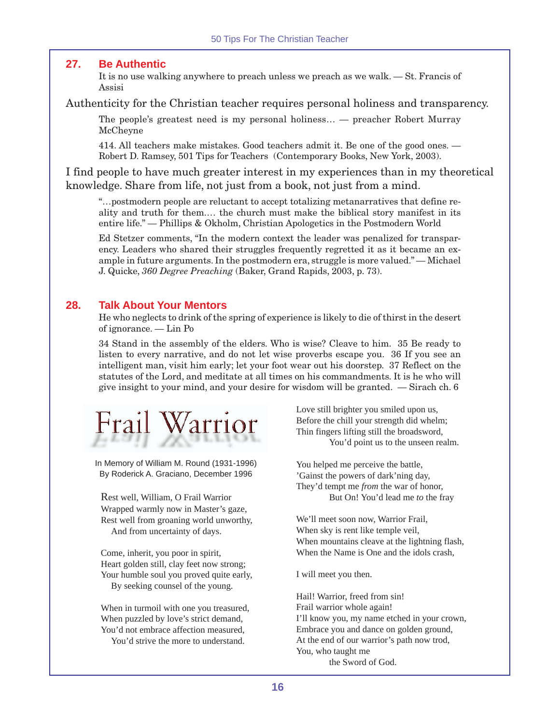#### **27. Be Authentic**

It is no use walking anywhere to preach unless we preach as we walk. — St. Francis of Assisi

Authenticity for the Christian teacher requires personal holiness and transparency.

The people's greatest need is my personal holiness… — preacher Robert Murray McCheyne

414. All teachers make mistakes. Good teachers admit it. Be one of the good ones. — Robert D. Ramsey, 501 Tips for Teachers (Contemporary Books, New York, 2003).

I find people to have much greater interest in my experiences than in my theoretical knowledge. Share from life, not just from a book, not just from a mind.

"…postmodern people are reluctant to accept totalizing metanarratives that define reality and truth for them.… the church must make the biblical story manifest in its entire life." — Phillips & Okholm, Christian Apologetics in the Postmodern World

Ed Stetzer comments, "In the modern context the leader was penalized for transparency. Leaders who shared their struggles frequently regretted it as it became an example in future arguments. In the postmodern era, struggle is more valued." — Michael J. Quicke, *360 Degree Preaching* (Baker, Grand Rapids, 2003, p. 73).

#### **28. Talk About Your Mentors**

He who neglects to drink of the spring of experience is likely to die of thirst in the desert of ignorance. — Lin Po

34 Stand in the assembly of the elders. Who is wise? Cleave to him. 35 Be ready to listen to every narrative, and do not let wise proverbs escape you. 36 If you see an intelligent man, visit him early; let your foot wear out his doorstep. 37 Reflect on the statutes of the Lord, and meditate at all times on his commandments. It is he who will give insight to your mind, and your desire for wisdom will be granted. — Sirach ch. 6



In Memory of William M. Round (1931-1996) By Roderick A. Graciano, December 1996

Rest well, William, O Frail Warrior Wrapped warmly now in Master's gaze, Rest well from groaning world unworthy, And from uncertainty of days.

Come, inherit, you poor in spirit, Heart golden still, clay feet now strong; Your humble soul you proved quite early, By seeking counsel of the young.

When in turmoil with one you treasured, When puzzled by love's strict demand, You'd not embrace affection measured, You'd strive the more to understand.

Love still brighter you smiled upon us, Before the chill your strength did whelm; Thin fingers lifting still the broadsword, You'd point us to the unseen realm.

You helped me perceive the battle, 'Gainst the powers of dark'ning day, They'd tempt me *from* the war of honor, But On! You'd lead me *to* the fray

We'll meet soon now, Warrior Frail, When sky is rent like temple veil, When mountains cleave at the lightning flash, When the Name is One and the idols crash,

I will meet you then.

Hail! Warrior, freed from sin! Frail warrior whole again! I'll know you, my name etched in your crown, Embrace you and dance on golden ground, At the end of our warrior's path now trod, You, who taught me the Sword of God.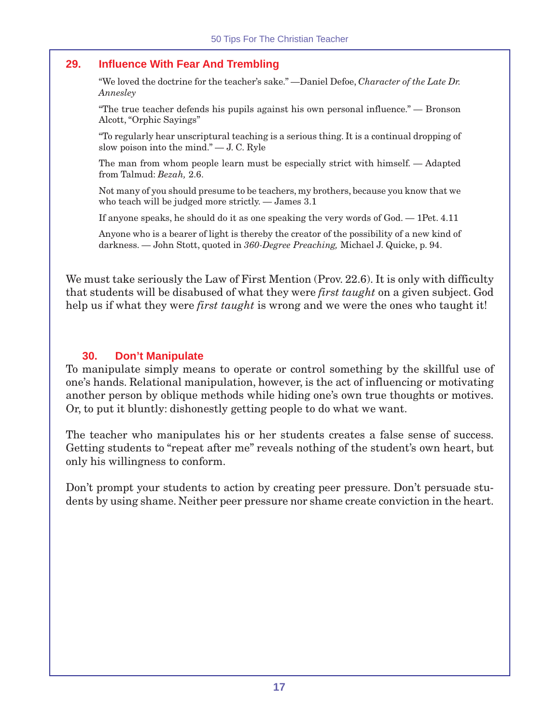# **29. Influence With Fear And Trembling**

"We loved the doctrine for the teacher's sake." —Daniel Defoe, *Character of the Late Dr. Annesley*

"The true teacher defends his pupils against his own personal influence." — Bronson Alcott, "Orphic Sayings"

"To regularly hear unscriptural teaching is a serious thing. It is a continual dropping of slow poison into the mind." — J. C. Ryle

The man from whom people learn must be especially strict with himself. — Adapted from Talmud: *Bezah,* 2.6.

Not many of you should presume to be teachers, my brothers, because you know that we who teach will be judged more strictly. — James 3.1

If anyone speaks, he should do it as one speaking the very words of God. — 1Pet. 4.11

Anyone who is a bearer of light is thereby the creator of the possibility of a new kind of darkness. — John Stott, quoted in *360-Degree Preaching,* Michael J. Quicke, p. 94.

We must take seriously the Law of First Mention (Prov. 22.6). It is only with difficulty that students will be disabused of what they were *first taught* on a given subject. God help us if what they were *first taught* is wrong and we were the ones who taught it!

#### **30. Don't Manipulate**

To manipulate simply means to operate or control something by the skillful use of one's hands. Relational manipulation, however, is the act of influencing or motivating another person by oblique methods while hiding one's own true thoughts or motives. Or, to put it bluntly: dishonestly getting people to do what we want.

The teacher who manipulates his or her students creates a false sense of success. Getting students to "repeat after me" reveals nothing of the student's own heart, but only his willingness to conform.

Don't prompt your students to action by creating peer pressure. Don't persuade students by using shame. Neither peer pressure nor shame create conviction in the heart.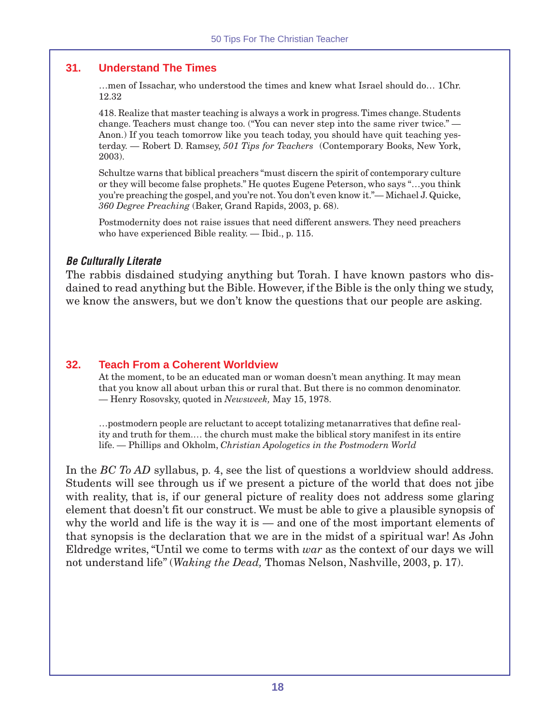# **31. Understand The Times**

…men of Issachar, who understood the times and knew what Israel should do… 1Chr. 12.32

418. Realize that master teaching is always a work in progress. Times change. Students change. Teachers must change too. ("You can never step into the same river twice." — Anon.) If you teach tomorrow like you teach today, you should have quit teaching yesterday. — Robert D. Ramsey, *501 Tips for Teachers* (Contemporary Books, New York, 2003).

Schultze warns that biblical preachers "must discern the spirit of contemporary culture or they will become false prophets." He quotes Eugene Peterson, who says "…you think you're preaching the gospel, and you're not. You don't even know it."— Michael J. Quicke, *360 Degree Preaching* (Baker, Grand Rapids, 2003, p. 68).

Postmodernity does not raise issues that need different answers. They need preachers who have experienced Bible reality. — Ibid., p. 115.

#### **Be Culturally Literate**

The rabbis disdained studying anything but Torah. I have known pastors who disdained to read anything but the Bible. However, if the Bible is the only thing we study, we know the answers, but we don't know the questions that our people are asking.

#### **32. Teach From a Coherent Worldview**

At the moment, to be an educated man or woman doesn't mean anything. It may mean that you know all about urban this or rural that. But there is no common denominator. — Henry Rosovsky, quoted in *Newsweek,* May 15, 1978.

…postmodern people are reluctant to accept totalizing metanarratives that define reality and truth for them.… the church must make the biblical story manifest in its entire life. — Phillips and Okholm, *Christian Apologetics in the Postmodern World*

In the *BC To AD* syllabus, p. 4, see the list of questions a worldview should address. Students will see through us if we present a picture of the world that does not jibe with reality, that is, if our general picture of reality does not address some glaring element that doesn't fit our construct. We must be able to give a plausible synopsis of why the world and life is the way it is — and one of the most important elements of that synopsis is the declaration that we are in the midst of a spiritual war! As John Eldredge writes, "Until we come to terms with *war* as the context of our days we will not understand life" (*Waking the Dead,* Thomas Nelson, Nashville, 2003, p. 17).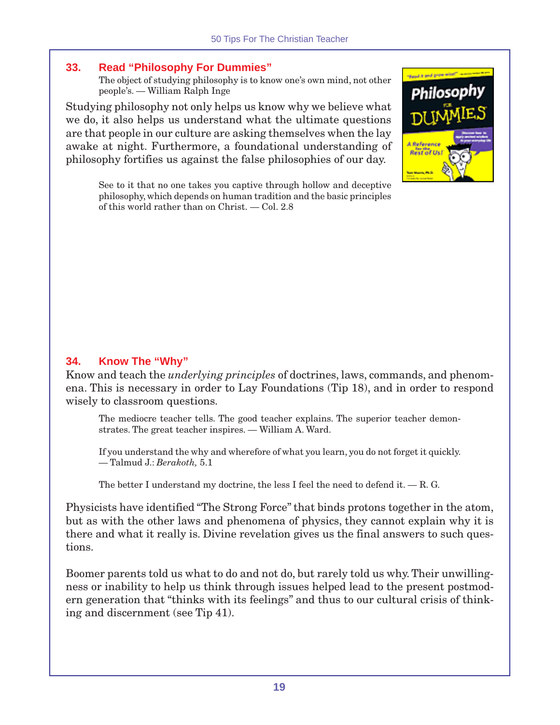# **33. Read "Philosophy For Dummies"**

The object of studying philosophy is to know one's own mind, not other people's. — William Ralph Inge

Studying philosophy not only helps us know why we believe what we do, it also helps us understand what the ultimate questions are that people in our culture are asking themselves when the lay awake at night. Furthermore, a foundational understanding of philosophy fortifies us against the false philosophies of our day.



See to it that no one takes you captive through hollow and deceptive philosophy, which depends on human tradition and the basic principles of this world rather than on Christ. — Col. 2.8

# **34. Know The "Why"**

Know and teach the *underlying principles* of doctrines, laws, commands, and phenomena. This is necessary in order to Lay Foundations (Tip 18), and in order to respond wisely to classroom questions.

The mediocre teacher tells. The good teacher explains. The superior teacher demonstrates. The great teacher inspires. — William A. Ward.

If you understand the why and wherefore of what you learn, you do not forget it quickly. — Talmud J.: *Berakoth,* 5.1

The better I understand my doctrine, the less I feel the need to defend it.  $-$  R. G.

Physicists have identified "The Strong Force" that binds protons together in the atom, but as with the other laws and phenomena of physics, they cannot explain why it is there and what it really is. Divine revelation gives us the final answers to such questions.

Boomer parents told us what to do and not do, but rarely told us why. Their unwillingness or inability to help us think through issues helped lead to the present postmodern generation that "thinks with its feelings" and thus to our cultural crisis of thinking and discernment (see Tip 41).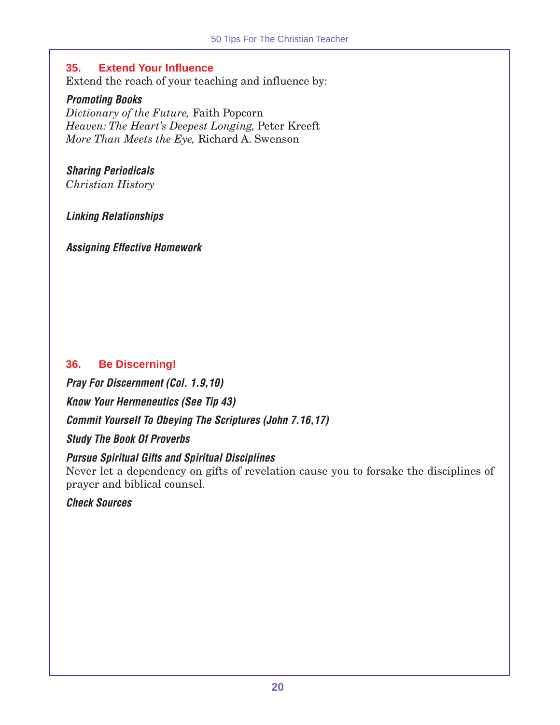# **35. Extend Your Influence**

Extend the reach of your teaching and influence by:

# **Promoting Books**

*Dictionary of the Future,* Faith Popcorn *Heaven: The Heart's Deepest Longing,* Peter Kreeft *More Than Meets the Eye,* Richard A. Swenson

#### **Sharing Periodicals** *Christian History*

**Linking Relationships**

**Assigning Effective Homework**

# **36. Be Discerning!**

**Pray For Discernment (Col. 1.9,10) Know Your Hermeneutics (See Tip 43) Commit Yourself To Obeying The Scriptures (John 7.16,17)**

**Study The Book Of Proverbs**

# **Pursue Spiritual Gifts and Spiritual Disciplines**

Never let a dependency on gifts of revelation cause you to forsake the disciplines of prayer and biblical counsel.

**Check Sources**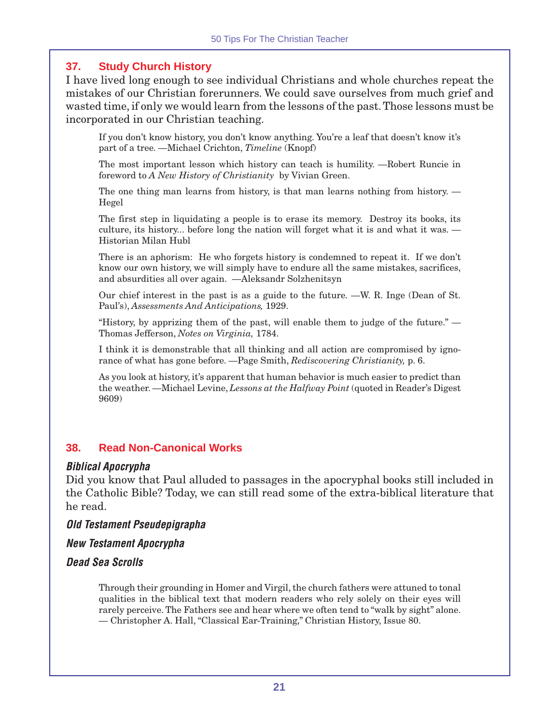# **37. Study Church History**

I have lived long enough to see individual Christians and whole churches repeat the mistakes of our Christian forerunners. We could save ourselves from much grief and wasted time, if only we would learn from the lessons of the past. Those lessons must be incorporated in our Christian teaching.

If you don't know history, you don't know anything. You're a leaf that doesn't know it's part of a tree. —Michael Crichton, *Timeline* (Knopf)

The most important lesson which history can teach is humility. —Robert Runcie in foreword to *A New History of Christianity* by Vivian Green.

The one thing man learns from history, is that man learns nothing from history. — Hegel

The first step in liquidating a people is to erase its memory. Destroy its books, its culture, its history... before long the nation will forget what it is and what it was. — Historian Milan Hubl

There is an aphorism: He who forgets history is condemned to repeat it. If we don't know our own history, we will simply have to endure all the same mistakes, sacrifices, and absurdities all over again. —Aleksandr Solzhenitsyn

Our chief interest in the past is as a guide to the future. —W. R. Inge (Dean of St. Paul's), *Assessments And Anticipations,* 1929.

"History, by apprizing them of the past, will enable them to judge of the future." — Thomas Jefferson, *Notes on Virginia,* 1784.

I think it is demonstrable that all thinking and all action are compromised by ignorance of what has gone before. —Page Smith, *Rediscovering Christianity,* p. 6.

As you look at history, it's apparent that human behavior is much easier to predict than the weather. —Michael Levine, *Lessons at the Halfway Point* (quoted in Reader's Digest 9609)

# **38. Read Non-Canonical Works**

#### **Biblical Apocrypha**

Did you know that Paul alluded to passages in the apocryphal books still included in the Catholic Bible? Today, we can still read some of the extra-biblical literature that he read.

**Old Testament Pseudepigrapha**

**New Testament Apocrypha**

# **Dead Sea Scrolls**

Through their grounding in Homer and Virgil, the church fathers were attuned to tonal qualities in the biblical text that modern readers who rely solely on their eyes will rarely perceive. The Fathers see and hear where we often tend to "walk by sight" alone. — Christopher A. Hall, "Classical Ear-Training," Christian History, Issue 80.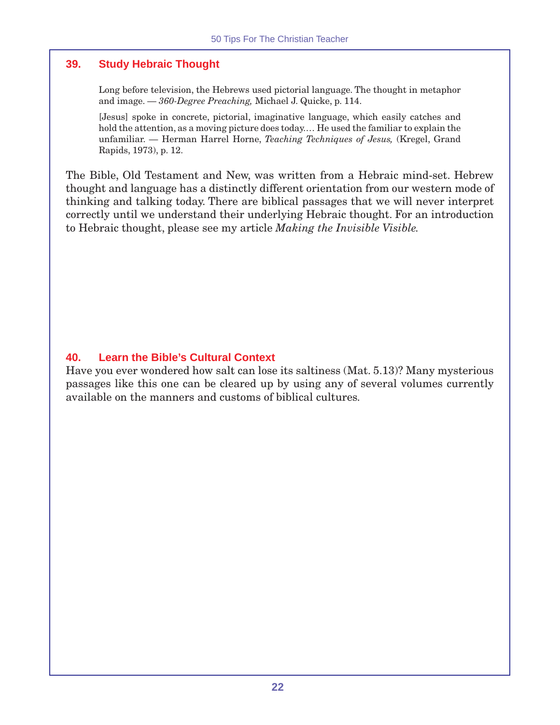# **39. Study Hebraic Thought**

Long before television, the Hebrews used pictorial language. The thought in metaphor and image. — *360-Degree Preaching,* Michael J. Quicke, p. 114.

[Jesus] spoke in concrete, pictorial, imaginative language, which easily catches and hold the attention, as a moving picture does today.… He used the familiar to explain the unfamiliar. — Herman Harrel Horne, *Teaching Techniques of Jesus,* (Kregel, Grand Rapids, 1973), p. 12.

The Bible, Old Testament and New, was written from a Hebraic mind-set. Hebrew thought and language has a distinctly different orientation from our western mode of thinking and talking today. There are biblical passages that we will never interpret correctly until we understand their underlying Hebraic thought. For an introduction to Hebraic thought, please see my article *Making the Invisible Visible.*

# **40. Learn the Bible's Cultural Context**

Have you ever wondered how salt can lose its saltiness (Mat. 5.13)? Many mysterious passages like this one can be cleared up by using any of several volumes currently available on the manners and customs of biblical cultures.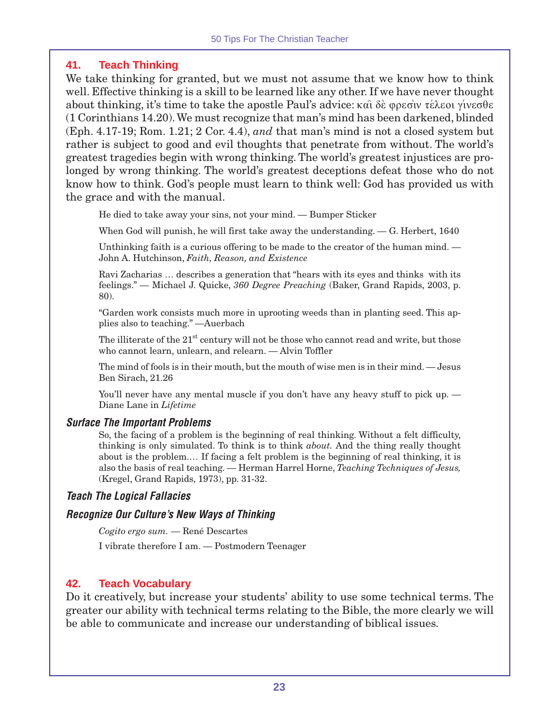# **41. Teach Thinking**

We take thinking for granted, but we must not assume that we know how to think well. Effective thinking is a skill to be learned like any other. If we have never thought about thinking, it's time to take the apostle Paul's advice:  $\kappa$ αι δέ φρεσιν τέλεοι γίνεσθε (1 Corinthians 14.20). We must recognize that man's mind has been darkened, blinded (Eph. 4.17-19; Rom. 1.21; 2 Cor. 4.4), *and* that man's mind is not a closed system but rather is subject to good and evil thoughts that penetrate from without. The world's greatest tragedies begin with wrong thinking. The world's greatest injustices are prolonged by wrong thinking. The world's greatest deceptions defeat those who do not know how to think. God's people must learn to think well: God has provided us with the grace and with the manual.

He died to take away your sins, not your mind. — Bumper Sticker

When God will punish, he will first take away the understanding. — G. Herbert, 1640

Unthinking faith is a curious offering to be made to the creator of the human mind. — John A. Hutchinson, *Faith, Reason, and Existence*

Ravi Zacharias … describes a generation that "hears with its eyes and thinks with its feelings." — Michael J. Quicke, *360 Degree Preaching* (Baker, Grand Rapids, 2003, p. 80).

"Garden work consists much more in uprooting weeds than in planting seed. This applies also to teaching." —Auerbach

The illiterate of the  $21<sup>st</sup>$  century will not be those who cannot read and write, but those who cannot learn, unlearn, and relearn. — Alvin Toffler

The mind of fools is in their mouth, but the mouth of wise men is in their mind. — Jesus Ben Sirach, 21.26

You'll never have any mental muscle if you don't have any heavy stuff to pick up. — Diane Lane in *Lifetime*

#### **Surface The Important Problems**

So, the facing of a problem is the beginning of real thinking. Without a felt difficulty, thinking is only simulated. To think is to think *about.* And the thing really thought about is the problem.… If facing a felt problem is the beginning of real thinking, it is also the basis of real teaching. — Herman Harrel Horne, *Teaching Techniques of Jesus,* (Kregel, Grand Rapids, 1973), pp. 31-32.

# **Teach The Logical Fallacies**

#### **Recognize Our Culture's New Ways of Thinking**

*Cogito ergo sum.* — René Descartes

I vibrate therefore I am. — Postmodern Teenager

# **42. Teach Vocabulary**

Do it creatively, but increase your students' ability to use some technical terms. The greater our ability with technical terms relating to the Bible, the more clearly we will be able to communicate and increase our understanding of biblical issues.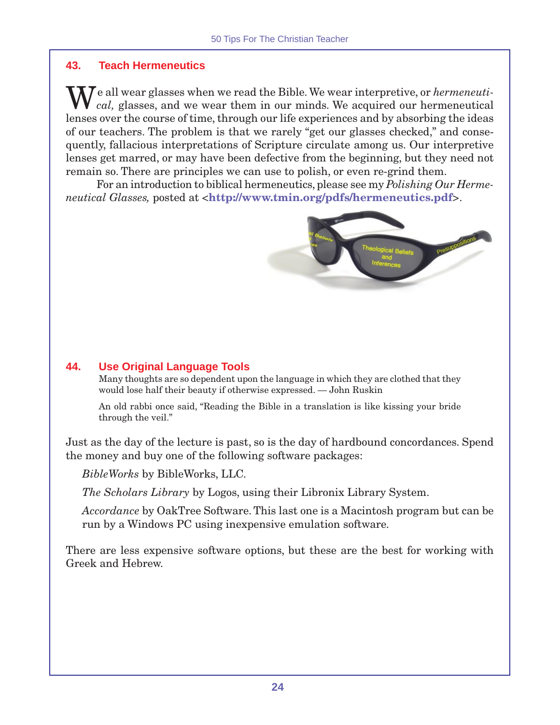# **43. Teach Hermeneutics**

We all wear glasses when we read the Bible. We wear interpretive, or *hermeneuti-*<br> *cal,* glasses, and we wear them in our minds. We acquired our hermeneutical lenses over the course of time, through our life experiences and by absorbing the ideas of our teachers. The problem is that we rarely "get our glasses checked," and consequently, fallacious interpretations of Scripture circulate among us. Our interpretive lenses get marred, or may have been defective from the beginning, but they need not remain so. There are principles we can use to polish, or even re-grind them.

For an introduction to biblical hermeneutics, please see my *Polishing Our Hermeneutical Glasses,* posted at <**http://www.tmin.org/pdfs/hermeneutics.pdf**>.



# **44. Use Original Language Tools**

Many thoughts are so dependent upon the language in which they are clothed that they would lose half their beauty if otherwise expressed. — John Ruskin

An old rabbi once said, "Reading the Bible in a translation is like kissing your bride through the veil."

Just as the day of the lecture is past, so is the day of hardbound concordances. Spend the money and buy one of the following software packages:

*BibleWorks* by BibleWorks, LLC.

*The Scholars Library* by Logos, using their Libronix Library System.

*Accordance* by OakTree Software. This last one is a Macintosh program but can be run by a Windows PC using inexpensive emulation software.

There are less expensive software options, but these are the best for working with Greek and Hebrew.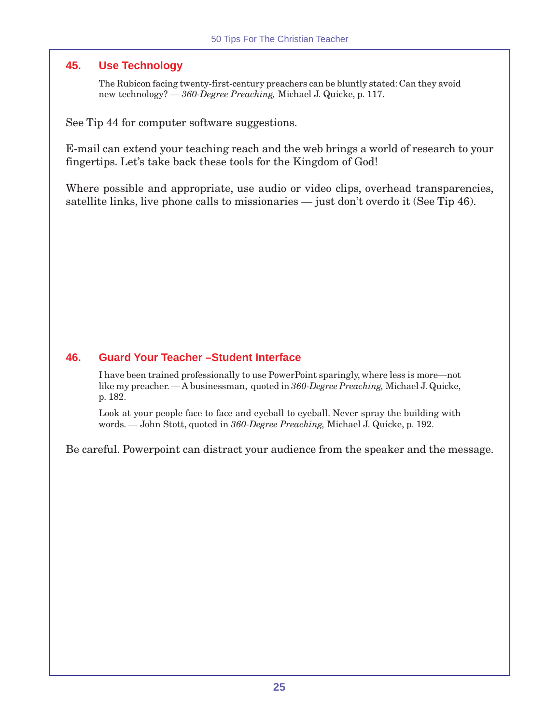# **45. Use Technology**

The Rubicon facing twenty-first-century preachers can be bluntly stated: Can they avoid new technology? — *360-Degree Preaching,* Michael J. Quicke, p. 117.

See Tip 44 for computer software suggestions.

E-mail can extend your teaching reach and the web brings a world of research to your fingertips. Let's take back these tools for the Kingdom of God!

Where possible and appropriate, use audio or video clips, overhead transparencies, satellite links, live phone calls to missionaries — just don't overdo it (See Tip 46).

# **46. Guard Your Teacher –Student Interface**

I have been trained professionally to use PowerPoint sparingly, where less is more—not like my preacher. — A businessman, quoted in *360-Degree Preaching,* Michael J. Quicke, p. 182.

Look at your people face to face and eyeball to eyeball. Never spray the building with words. — John Stott, quoted in *360-Degree Preaching,* Michael J. Quicke, p. 192.

Be careful. Powerpoint can distract your audience from the speaker and the message.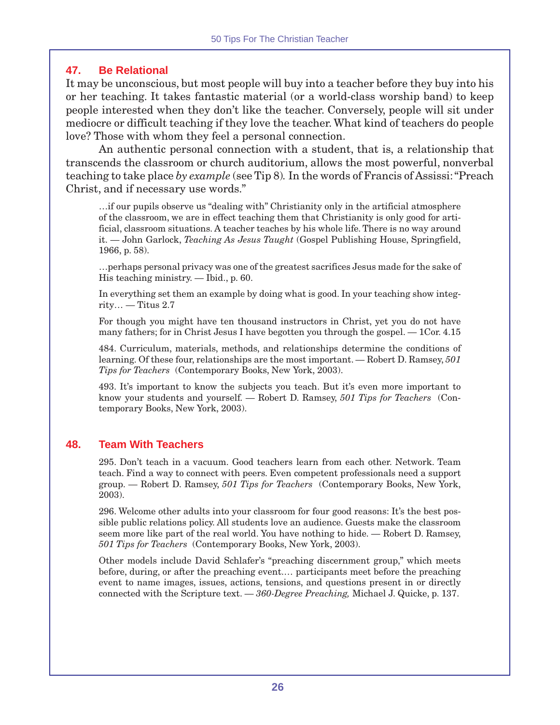# **47. Be Relational**

It may be unconscious, but most people will buy into a teacher before they buy into his or her teaching. It takes fantastic material (or a world-class worship band) to keep people interested when they don't like the teacher. Conversely, people will sit under mediocre or difficult teaching if they love the teacher. What kind of teachers do people love? Those with whom they feel a personal connection.

An authentic personal connection with a student, that is, a relationship that transcends the classroom or church auditorium, allows the most powerful, nonverbal teaching to take place *by example* (see Tip 8)*.* In the words of Francis of Assissi: "Preach Christ, and if necessary use words."

…if our pupils observe us "dealing with" Christianity only in the artificial atmosphere of the classroom, we are in effect teaching them that Christianity is only good for artificial, classroom situations. A teacher teaches by his whole life. There is no way around it. — John Garlock, *Teaching As Jesus Taught* (Gospel Publishing House, Springfield, 1966, p. 58).

…perhaps personal privacy was one of the greatest sacrifices Jesus made for the sake of His teaching ministry. — Ibid., p. 60.

In everything set them an example by doing what is good. In your teaching show integ $ritv...$  — Titus 2.7

For though you might have ten thousand instructors in Christ, yet you do not have many fathers; for in Christ Jesus I have begotten you through the gospel. — 1Cor. 4.15

484. Curriculum, materials, methods, and relationships determine the conditions of learning. Of these four, relationships are the most important. — Robert D. Ramsey, *501 Tips for Teachers* (Contemporary Books, New York, 2003).

493. It's important to know the subjects you teach. But it's even more important to know your students and yourself. — Robert D. Ramsey, *501 Tips for Teachers* (Contemporary Books, New York, 2003).

# **48. Team With Teachers**

295. Don't teach in a vacuum. Good teachers learn from each other. Network. Team teach. Find a way to connect with peers. Even competent professionals need a support group. — Robert D. Ramsey, *501 Tips for Teachers* (Contemporary Books, New York, 2003).

296. Welcome other adults into your classroom for four good reasons: It's the best possible public relations policy. All students love an audience. Guests make the classroom seem more like part of the real world. You have nothing to hide. — Robert D. Ramsey, *501 Tips for Teachers* (Contemporary Books, New York, 2003).

Other models include David Schlafer's "preaching discernment group," which meets before, during, or after the preaching event.… participants meet before the preaching event to name images, issues, actions, tensions, and questions present in or directly connected with the Scripture text. — *360-Degree Preaching,* Michael J. Quicke, p. 137.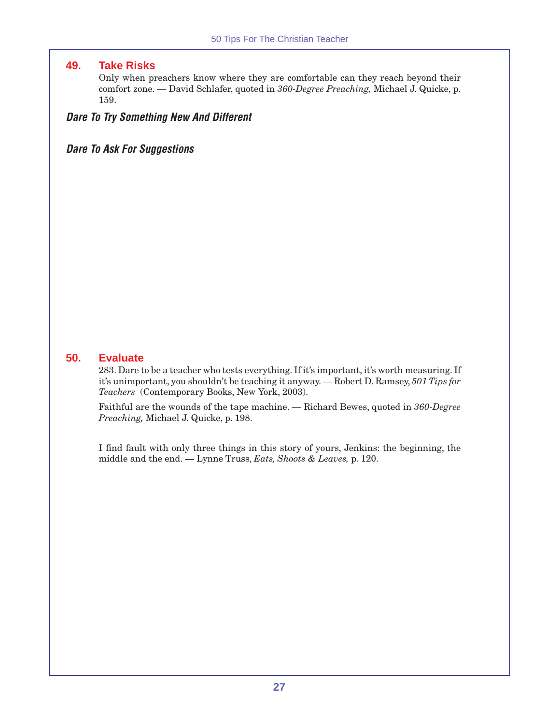#### **49. Take Risks**

Only when preachers know where they are comfortable can they reach beyond their comfort zone. — David Schlafer, quoted in *360-Degree Preaching,* Michael J. Quicke, p. 159.

#### **Dare To Try Something New And Different**

# **Dare To Ask For Suggestions**

#### **50. Evaluate**

283. Dare to be a teacher who tests everything. If it's important, it's worth measuring. If it's unimportant, you shouldn't be teaching it anyway. — Robert D. Ramsey, *501 Tips for Teachers* (Contemporary Books, New York, 2003).

Faithful are the wounds of the tape machine. — Richard Bewes, quoted in *360-Degree Preaching,* Michael J. Quicke, p. 198.

I find fault with only three things in this story of yours, Jenkins: the beginning, the middle and the end. — Lynne Truss, *Eats, Shoots & Leaves,* p. 120.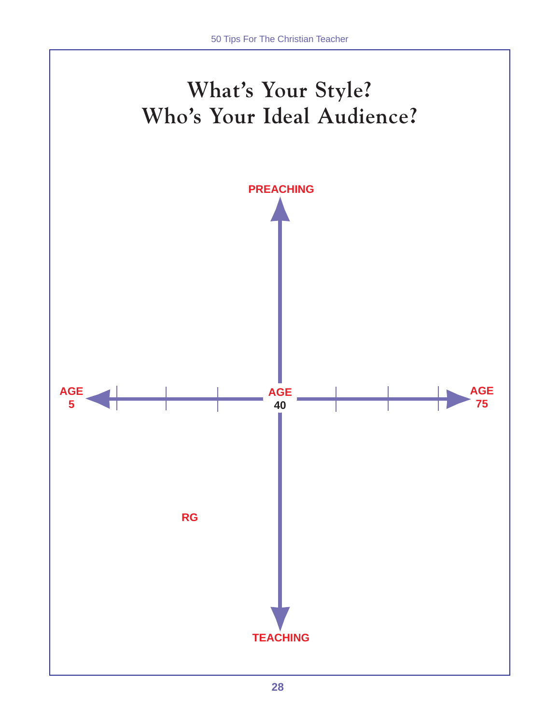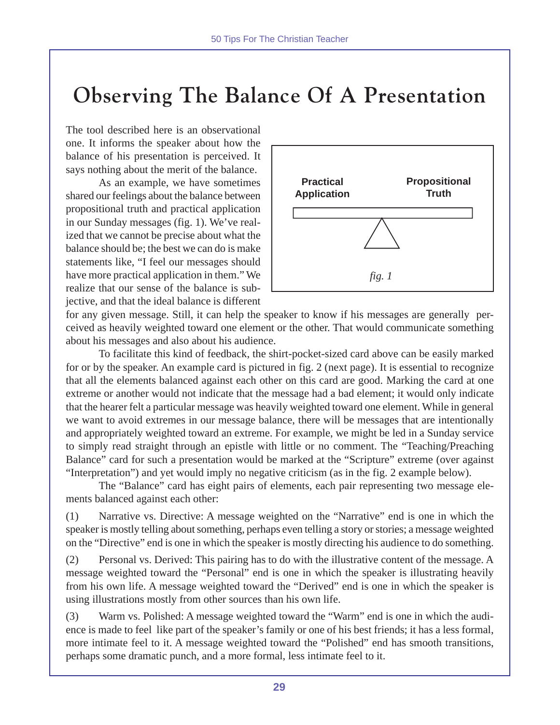# **Observing The Balance Of A Presentation**

The tool described here is an observational one. It informs the speaker about how the balance of his presentation is perceived. It says nothing about the merit of the balance.

As an example, we have sometimes shared our feelings about the balance between propositional truth and practical application in our Sunday messages (fig. 1). We've realized that we cannot be precise about what the balance should be; the best we can do is make statements like, "I feel our messages should have more practical application in them." We realize that our sense of the balance is subjective, and that the ideal balance is different



for any given message. Still, it can help the speaker to know if his messages are generally perceived as heavily weighted toward one element or the other. That would communicate something about his messages and also about his audience.

To facilitate this kind of feedback, the shirt-pocket-sized card above can be easily marked for or by the speaker. An example card is pictured in fig. 2 (next page). It is essential to recognize that all the elements balanced against each other on this card are good. Marking the card at one extreme or another would not indicate that the message had a bad element; it would only indicate that the hearer felt a particular message was heavily weighted toward one element. While in general we want to avoid extremes in our message balance, there will be messages that are intentionally and appropriately weighted toward an extreme. For example, we might be led in a Sunday service to simply read straight through an epistle with little or no comment. The "Teaching/Preaching Balance" card for such a presentation would be marked at the "Scripture" extreme (over against "Interpretation") and yet would imply no negative criticism (as in the fig. 2 example below).

The "Balance" card has eight pairs of elements, each pair representing two message elements balanced against each other:

(1) Narrative vs. Directive: A message weighted on the "Narrative" end is one in which the speaker is mostly telling about something, perhaps even telling a story or stories; a message weighted on the "Directive" end is one in which the speaker is mostly directing his audience to do something.

(2) Personal vs. Derived: This pairing has to do with the illustrative content of the message. A message weighted toward the "Personal" end is one in which the speaker is illustrating heavily from his own life. A message weighted toward the "Derived" end is one in which the speaker is using illustrations mostly from other sources than his own life.

(3) Warm vs. Polished: A message weighted toward the "Warm" end is one in which the audience is made to feel like part of the speaker's family or one of his best friends; it has a less formal, more intimate feel to it. A message weighted toward the "Polished" end has smooth transitions, perhaps some dramatic punch, and a more formal, less intimate feel to it.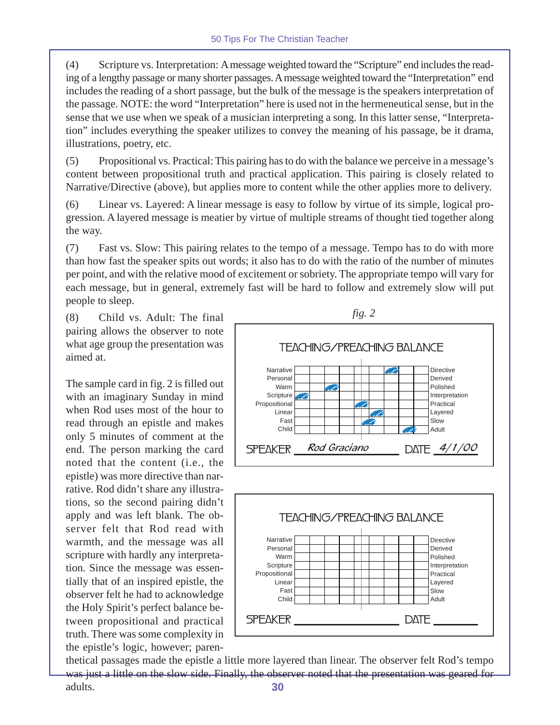(4) Scripture vs. Interpretation: A message weighted toward the "Scripture" end includes the reading of a lengthy passage or many shorter passages. A message weighted toward the "Interpretation" end includes the reading of a short passage, but the bulk of the message is the speakers interpretation of the passage. NOTE: the word "Interpretation" here is used not in the hermeneutical sense, but in the sense that we use when we speak of a musician interpreting a song. In this latter sense, "Interpretation" includes everything the speaker utilizes to convey the meaning of his passage, be it drama, illustrations, poetry, etc.

(5) Propositional vs. Practical: This pairing has to do with the balance we perceive in a message's content between propositional truth and practical application. This pairing is closely related to Narrative/Directive (above), but applies more to content while the other applies more to delivery.

(6) Linear vs. Layered: A linear message is easy to follow by virtue of its simple, logical progression. A layered message is meatier by virtue of multiple streams of thought tied together along the way.

(7) Fast vs. Slow: This pairing relates to the tempo of a message. Tempo has to do with more than how fast the speaker spits out words; it also has to do with the ratio of the number of minutes per point, and with the relative mood of excitement or sobriety. The appropriate tempo will vary for each message, but in general, extremely fast will be hard to follow and extremely slow will put people to sleep.

(8) Child vs. Adult: The final pairing allows the observer to note what age group the presentation was aimed at.

The sample card in fig. 2 is filled out with an imaginary Sunday in mind when Rod uses most of the hour to read through an epistle and makes only 5 minutes of comment at the end. The person marking the card noted that the content (i.e., the epistle) was more directive than narrative. Rod didn't share any illustrations, so the second pairing didn't apply and was left blank. The observer felt that Rod read with warmth, and the message was all scripture with hardly any interpretation. Since the message was essentially that of an inspired epistle, the observer felt he had to acknowledge the Holy Spirit's perfect balance between propositional and practical truth. There was some complexity in the epistle's logic, however; paren-



**30** thetical passages made the epistle a little more layered than linear. The observer felt Rod's tempo was just a little on the slow side. Finally, the observer noted that the presentation was geared for adults.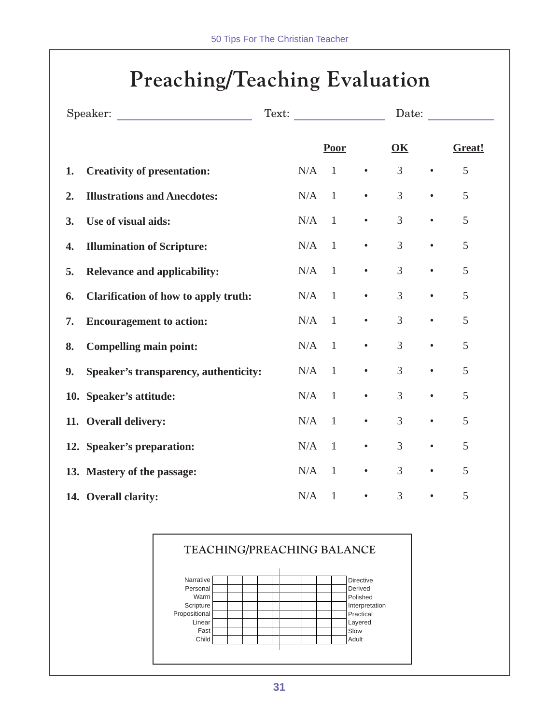# **Preaching/Teaching Evaluation**

| Speaker:<br><u> 1990 - John Stein, Amerikaansk politiker (</u> |                                       |         | Text:          |           |                |           | Date:  |
|----------------------------------------------------------------|---------------------------------------|---------|----------------|-----------|----------------|-----------|--------|
|                                                                |                                       |         | Poor           |           | OK             |           | Great! |
| 1.                                                             | <b>Creativity of presentation:</b>    | N/A     | $\overline{1}$ | $\bullet$ | 3              | $\bullet$ | 5      |
| 2.                                                             | <b>Illustrations and Anecdotes:</b>   | $N/A$ 1 |                |           | $\overline{3}$ | $\bullet$ | 5      |
| 3.                                                             | Use of visual aids:                   | N/A     | $\overline{1}$ | $\bullet$ | 3              | $\bullet$ | 5      |
| 4.                                                             | <b>Illumination of Scripture:</b>     | N/A     | $\mathbf{1}$   | $\bullet$ | 3              | $\bullet$ | 5      |
| 5.                                                             | <b>Relevance and applicability:</b>   | $N/A$ 1 |                |           | 3              | $\bullet$ | 5      |
| 6.                                                             | Clarification of how to apply truth:  | N/A     | $\overline{1}$ | $\bullet$ | 3              | $\bullet$ | 5      |
| 7.                                                             | <b>Encouragement to action:</b>       | N/A     | $\mathbf{1}$   | $\bullet$ | 3              | $\bullet$ | 5      |
| 8.                                                             | <b>Compelling main point:</b>         | $N/A$ 1 |                |           | 3              | $\bullet$ | 5      |
| 9.                                                             | Speaker's transparency, authenticity: | N/A     | $\overline{1}$ | $\bullet$ | 3              | $\bullet$ | 5      |
|                                                                | 10. Speaker's attitude:               | N/A     | $\mathbf{1}$   | $\bullet$ | 3              | $\bullet$ | 5      |
|                                                                | 11. Overall delivery:                 | $N/A$ 1 |                | $\bullet$ | 3              | $\bullet$ | 5      |
|                                                                | 12. Speaker's preparation:            | N/A     | $\mathbf{1}$   | $\bullet$ | 3              | $\bullet$ | 5      |
|                                                                | 13. Mastery of the passage:           | N/A     | $\mathbf{1}$   |           | 3              | $\bullet$ | 5      |
|                                                                | 14. Overall clarity:                  | N/A     | $\mathbf{1}$   | $\bullet$ | $\overline{3}$ | $\bullet$ | 5      |

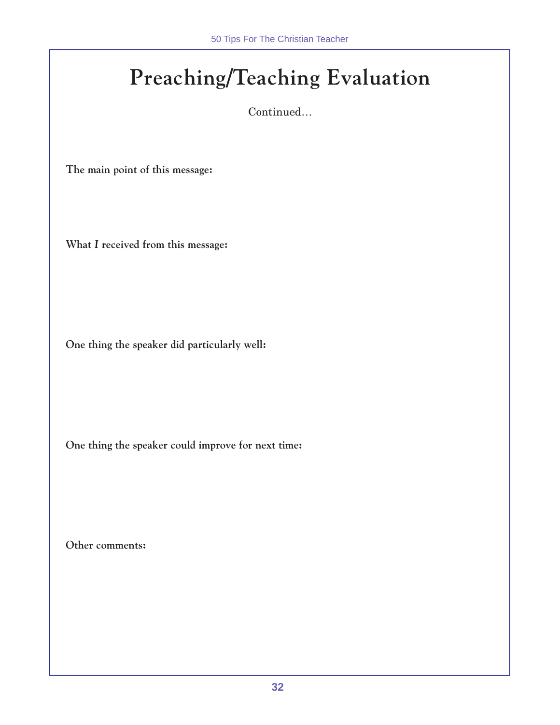# **Preaching/Teaching Evaluation**

Continued…

**The main point of this message:**

**What** *I* **received from this message:**

**One thing the speaker did particularly well:**

**One thing the speaker could improve for next time:**

**Other comments:**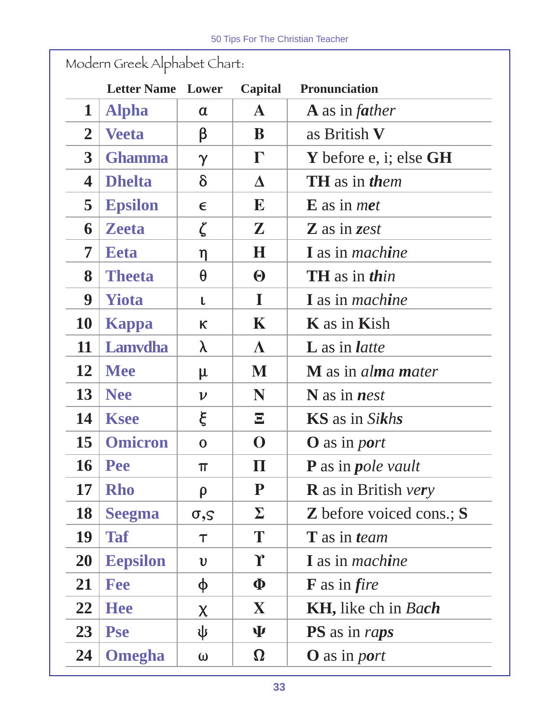|                  | <b>Letter Name Lower</b> |                         | Capital               | <b>Pronunciation</b>               |
|------------------|--------------------------|-------------------------|-----------------------|------------------------------------|
| $\mathbf 1$      | <b>Alpha</b>             | $\alpha$                | ${\bf A}$             | $\bf{A}$ as in <i>father</i>       |
| $\overline{2}$   | <b>Veeta</b>             | β                       | B                     | as British V                       |
| $\boldsymbol{3}$ | <b>Ghamma</b>            | $\gamma$                | $\Gamma$              | Y before e, i; else $GH$           |
| 4                | <b>Dhelta</b>            | $\delta$                | Δ                     | <b>TH</b> as in them               |
| 5                | <b>Epsilon</b>           | $\epsilon$              | E                     | $E$ as in <i>met</i>               |
| 6                | <b>Zeeta</b>             | $\zeta$                 | $\mathbf{Z}$          | Z as in zest                       |
| 7                | <b>Eeta</b>              | η                       | $\bf H$               | I as in <i>machine</i>             |
| 8                | <b>Theeta</b>            | $\theta$                | $\boldsymbol{\Theta}$ | <b>TH</b> as in <i>thin</i>        |
| 9                | <b>Yiota</b>             | L                       | $\mathbf I$           | <b>I</b> as in <i>machine</i>      |
| <b>10</b>        | Kappa                    | $\kappa$                | $\mathbf K$           | <b>K</b> as in <b>Kish</b>         |
| 11               | <b>Lamvdha</b>           | λ                       | $\Lambda$             | <b>L</b> as in <i>latte</i>        |
| 12               | <b>Mee</b>               | μ                       | M                     | <b>M</b> as in <i>alma mater</i>   |
| 13               | <b>Nee</b>               | $\boldsymbol{\nu}$      | N                     | $N$ as in <i>nest</i>              |
| 14               | <b>Ksee</b>              | ξ                       | $\mathbf{E}$          | <b>KS</b> as in Sikhs              |
| 15               | <b>Omicron</b>           | $\mathbf 0$             | $\mathbf 0$           | <b>O</b> as in <i>port</i>         |
| 16               | <b>Pee</b>               | π                       | $\bm{\Pi}$            | <b>P</b> as in <i>pole vault</i>   |
| 17               | <b>Rho</b>               | $\rho$                  | ${\bf P}$             | <b>R</b> as in British very        |
| <b>18</b>        | <b>Seegma</b>            | $\sigma$ , $S$          | $\boldsymbol{\Sigma}$ | <b>Z</b> before voiced cons.; S    |
| 19               | <b>Taf</b>               | $\tau$                  | T                     | <b>T</b> as in team                |
| <b>20</b>        | <b>Eepsilon</b>          | $\boldsymbol{\upsilon}$ | ${\bf r}$             | <b>I</b> as in <i>machine</i>      |
| 21               | <b>Fee</b>               | φ                       | $\boldsymbol{\Phi}$   | $\bf{F}$ as in <i>fire</i>         |
| 22               | <b>Hee</b>               | $\chi$                  | $\mathbf{X}$          | <b>KH</b> , like ch in <i>Bach</i> |
| 23               | <b>Pse</b>               | ψ                       | Ψ                     | <b>PS</b> as in raps               |
| 24               | <b>Omegha</b>            | $\omega$                | $\boldsymbol{\Omega}$ | <b>O</b> as in <i>port</i>         |